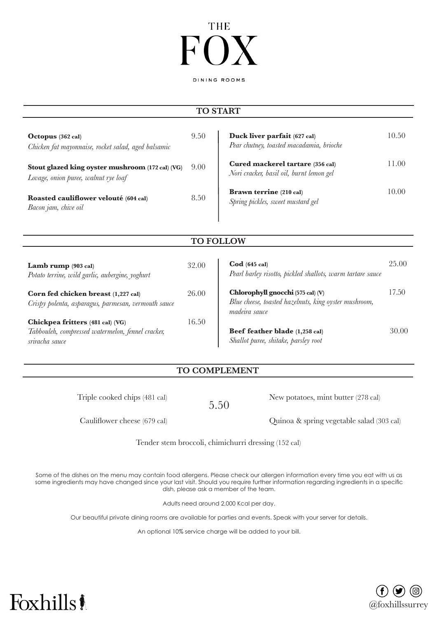# **THE**

DINING ROOMS

### **TO START**

| Octopus $(362 \text{ cal})$<br>Chicken fat mayonnaise, rocket salad, aged balsamic       | 9.50 | Duck liver parfait (627 cal)<br>Pear chutney, toasted macadamia, brioche     | 10.50 |
|------------------------------------------------------------------------------------------|------|------------------------------------------------------------------------------|-------|
| Stout glazed king oyster mushroom (172 cal) (VG)<br>Lovage, onion puree, walnut rye loaf | 9.00 | Cured mackerel tartare (356 cal)<br>Nori cracker, basil oil, burnt lemon gel | 11.00 |
| Roasted cauliflower velouté (604 cal)<br>Bacon jam, chive oil                            | 8.50 | <b>Brawn terrine</b> (210 cal)<br>Spring pickles, sweet mustard gel          | 10.00 |

**TO FOLLOW**

| 32.00 | $\text{Cod}$ (645 cal)<br>Pearl barley risotto, pickled shallots, warm tartare sauce                        | 25.00 |
|-------|-------------------------------------------------------------------------------------------------------------|-------|
| 26.00 | Chlorophyll gnocchi (575 cal) (V)<br>Blue cheese, toasted hazelnuts, king oyster mushroom,<br>madeira sauce | 17.50 |
| 16.50 |                                                                                                             |       |
|       | Beef feather blade (1,258 cal)                                                                              | 30.00 |
|       | Shallot puree, shitake, parsley root                                                                        |       |
|       |                                                                                                             |       |

#### **TO COMPLEMENT**

Triple cooked chips (481 cal)

5.50

New potatoes, mint butter (278 cal)

Cauliflower cheese (679 cal)

Quinoa & spring vegetable salad (303 cal)

Tender stem broccoli, chimichurri dressing (152 cal)

Some of the dishes on the menu may contain food allergens. Please check our allergen information every time you eat with us as some ingredients may have changed since your last visit. Should you require further information regarding ingredients in a specific dish, please ask a member of the team.

Adults need around 2,000 Kcal per day.

Our beautiful private dining rooms are available for parties and events. Speak with your server for details.

An optional 10% service charge will be added to your bill.